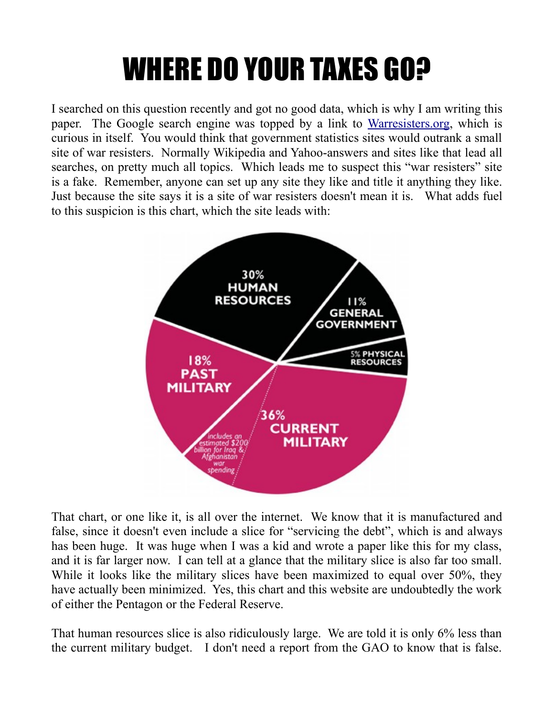## WHERE DO YOUR TAXES GO?

I searched on this question recently and got no good data, which is why I am writing this paper. The Google search engine was topped by a link to [Warresisters.org,](http://www.warresisters.org/pages/piechart.htm) which is curious in itself. You would think that government statistics sites would outrank a small site of war resisters. Normally Wikipedia and Yahoo-answers and sites like that lead all searches, on pretty much all topics. Which leads me to suspect this "war resisters" site is a fake. Remember, anyone can set up any site they like and title it anything they like. Just because the site says it is a site of war resisters doesn't mean it is. What adds fuel to this suspicion is this chart, which the site leads with:



That chart, or one like it, is all over the internet. We know that it is manufactured and false, since it doesn't even include a slice for "servicing the debt", which is and always has been huge. It was huge when I was a kid and wrote a paper like this for my class, and it is far larger now. I can tell at a glance that the military slice is also far too small. While it looks like the military slices have been maximized to equal over 50%, they have actually been minimized. Yes, this chart and this website are undoubtedly the work of either the Pentagon or the Federal Reserve.

That human resources slice is also ridiculously large. We are told it is only 6% less than the current military budget. I don't need a report from the GAO to know that is false.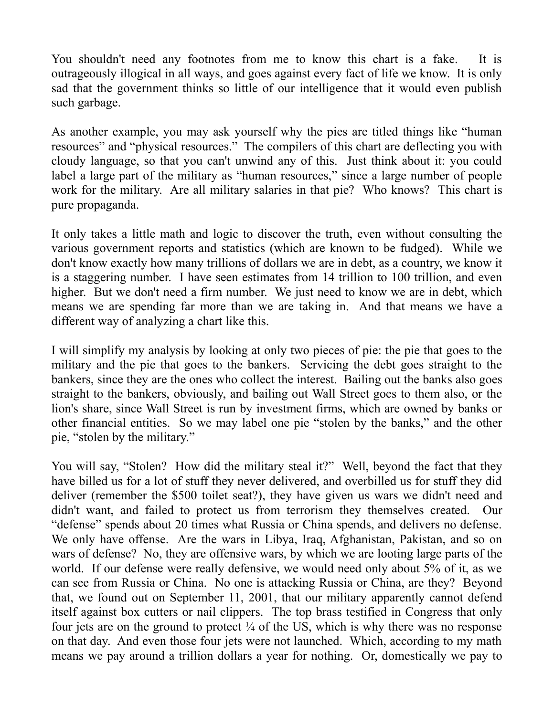You shouldn't need any footnotes from me to know this chart is a fake. It is outrageously illogical in all ways, and goes against every fact of life we know. It is only sad that the government thinks so little of our intelligence that it would even publish such garbage.

As another example, you may ask yourself why the pies are titled things like "human resources" and "physical resources." The compilers of this chart are deflecting you with cloudy language, so that you can't unwind any of this. Just think about it: you could label a large part of the military as "human resources," since a large number of people work for the military. Are all military salaries in that pie? Who knows? This chart is pure propaganda.

It only takes a little math and logic to discover the truth, even without consulting the various government reports and statistics (which are known to be fudged). While we don't know exactly how many trillions of dollars we are in debt, as a country, we know it is a staggering number. I have seen estimates from 14 trillion to 100 trillion, and even higher. But we don't need a firm number. We just need to know we are in debt, which means we are spending far more than we are taking in. And that means we have a different way of analyzing a chart like this.

I will simplify my analysis by looking at only two pieces of pie: the pie that goes to the military and the pie that goes to the bankers. Servicing the debt goes straight to the bankers, since they are the ones who collect the interest. Bailing out the banks also goes straight to the bankers, obviously, and bailing out Wall Street goes to them also, or the lion's share, since Wall Street is run by investment firms, which are owned by banks or other financial entities. So we may label one pie "stolen by the banks," and the other pie, "stolen by the military."

You will say, "Stolen? How did the military steal it?" Well, beyond the fact that they have billed us for a lot of stuff they never delivered, and overbilled us for stuff they did deliver (remember the \$500 toilet seat?), they have given us wars we didn't need and didn't want, and failed to protect us from terrorism they themselves created. Our "defense" spends about 20 times what Russia or China spends, and delivers no defense. We only have offense. Are the wars in Libya, Iraq, Afghanistan, Pakistan, and so on wars of defense? No, they are offensive wars, by which we are looting large parts of the world. If our defense were really defensive, we would need only about 5% of it, as we can see from Russia or China. No one is attacking Russia or China, are they? Beyond that, we found out on September 11, 2001, that our military apparently cannot defend itself against box cutters or nail clippers. The top brass testified in Congress that only four jets are on the ground to protect  $\frac{1}{4}$  of the US, which is why there was no response on that day. And even those four jets were not launched. Which, according to my math means we pay around a trillion dollars a year for nothing. Or, domestically we pay to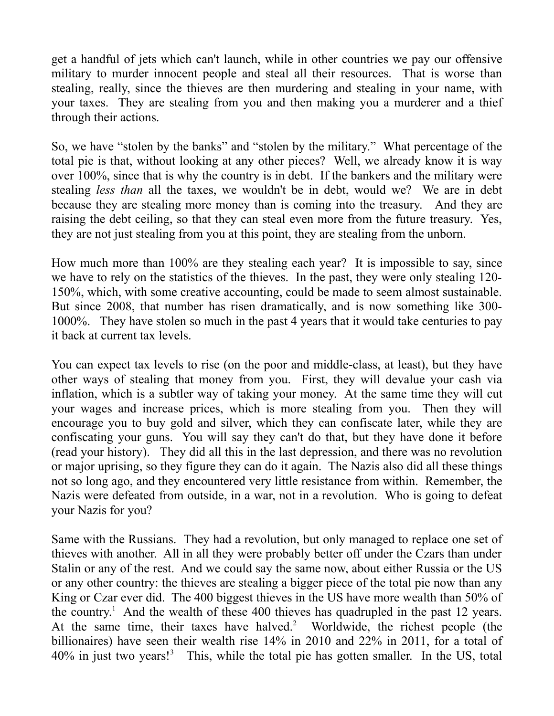get a handful of jets which can't launch, while in other countries we pay our offensive military to murder innocent people and steal all their resources. That is worse than stealing, really, since the thieves are then murdering and stealing in your name, with your taxes. They are stealing from you and then making you a murderer and a thief through their actions.

So, we have "stolen by the banks" and "stolen by the military." What percentage of the total pie is that, without looking at any other pieces? Well, we already know it is way over 100%, since that is why the country is in debt. If the bankers and the military were stealing *less than* all the taxes, we wouldn't be in debt, would we? We are in debt because they are stealing more money than is coming into the treasury. And they are raising the debt ceiling, so that they can steal even more from the future treasury. Yes, they are not just stealing from you at this point, they are stealing from the unborn.

How much more than 100% are they stealing each year? It is impossible to say, since we have to rely on the statistics of the thieves. In the past, they were only stealing 120- 150%, which, with some creative accounting, could be made to seem almost sustainable. But since 2008, that number has risen dramatically, and is now something like 300- 1000%. They have stolen so much in the past 4 years that it would take centuries to pay it back at current tax levels.

You can expect tax levels to rise (on the poor and middle-class, at least), but they have other ways of stealing that money from you. First, they will devalue your cash via inflation, which is a subtler way of taking your money. At the same time they will cut your wages and increase prices, which is more stealing from you. Then they will encourage you to buy gold and silver, which they can confiscate later, while they are confiscating your guns. You will say they can't do that, but they have done it before (read your history). They did all this in the last depression, and there was no revolution or major uprising, so they figure they can do it again. The Nazis also did all these things not so long ago, and they encountered very little resistance from within. Remember, the Nazis were defeated from outside, in a war, not in a revolution. Who is going to defeat your Nazis for you?

Same with the Russians. They had a revolution, but only managed to replace one set of thieves with another. All in all they were probably better off under the Czars than under Stalin or any of the rest. And we could say the same now, about either Russia or the US or any other country: the thieves are stealing a bigger piece of the total pie now than any King or Czar ever did. The 400 biggest thieves in the US have more wealth than 50% of the country.<sup>1</sup> And the wealth of these 400 thieves has quadrupled in the past 12 years. At the same time, their taxes have halved.<sup>2</sup> Worldwide, the richest people (the billionaires) have seen their wealth rise 14% in 2010 and 22% in 2011, for a total of 40% in just two years!<sup>3</sup> This, while the total pie has gotten smaller. In the US, total